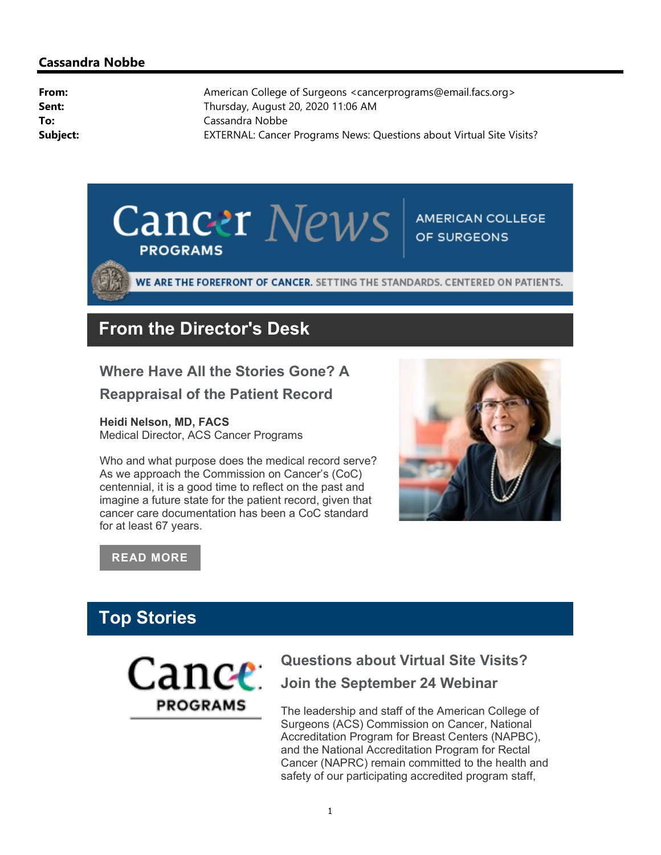#### Cassandra Nobbe

| American College of Surgeons <cancerprograms@email.facs.org></cancerprograms@email.facs.org> |
|----------------------------------------------------------------------------------------------|
| Thursday, August 20, 2020 11:06 AM                                                           |
| Cassandra Nobbe                                                                              |
| EXTERNAL: Cancer Programs News: Questions about Virtual Site Visits?                         |
|                                                                                              |



WE ARE THE FOREFRONT OF CANCER. SETTING THE STANDARDS. CENTERED ON PATIENTS.

# From the Director's Desk

Where Have All the Stories Gone? A Reappraisal of the Patient Record

Heidi Nelson, MD, FACS

Medical Director, ACS Cancer Programs

Who and what purpose does the medical record serve? As we approach the Commission on Cancer's (CoC) centennial, it is a good time to reflect on the past and imagine a future state for the patient record, given that cancer care documentation has been a CoC standard for at least 67 years.



#### READ MORE

# Top Stories



# Questions about Virtual Site Visits? Join the September 24 Webinar

The leadership and staff of the American College of Surgeons (ACS) Commission on Cancer, National Accreditation Program for Breast Centers (NAPBC), and the National Accreditation Program for Rectal Cancer (NAPRC) remain committed to the health and safety of our participating accredited program staff,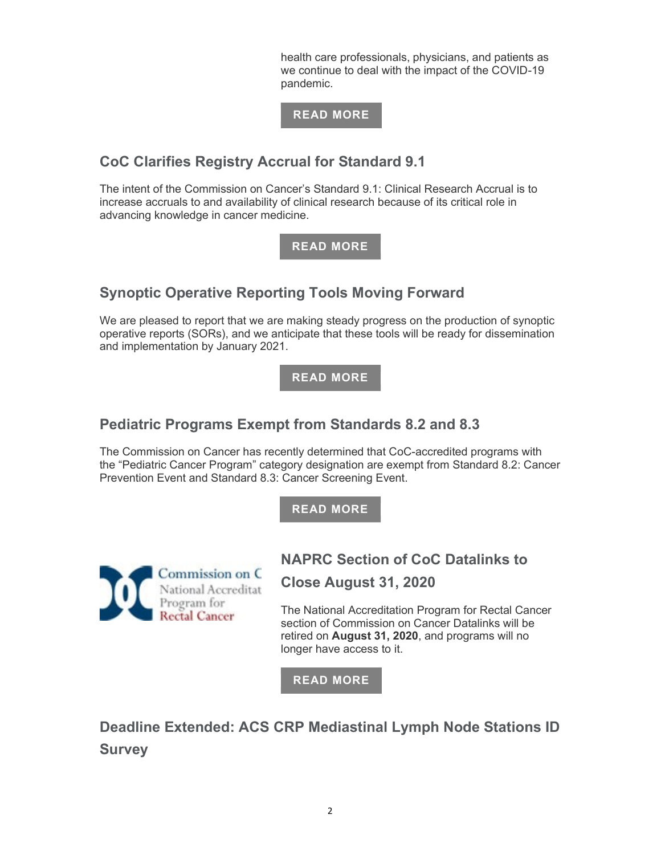health care professionals, physicians, and patients as we continue to deal with the impact of the COVID-19 pandemic.

#### READ MORE

# CoC Clarifies Registry Accrual for Standard 9.1

The intent of the Commission on Cancer's Standard 9.1: Clinical Research Accrual is to increase accruals to and availability of clinical research because of its critical role in advancing knowledge in cancer medicine.

#### READ MORE

# Synoptic Operative Reporting Tools Moving Forward

We are pleased to report that we are making steady progress on the production of synoptic operative reports (SORs), and we anticipate that these tools will be ready for dissemination and implementation by January 2021.

READ MORE

## Pediatric Programs Exempt from Standards 8.2 and 8.3

The Commission on Cancer has recently determined that CoC-accredited programs with the "Pediatric Cancer Program" category designation are exempt from Standard 8.2: Cancer Prevention Event and Standard 8.3: Cancer Screening Event.

READ MORE



NAPRC Section of CoC Datalinks to Close August 31, 2020

The National Accreditation Program for Rectal Cancer section of Commission on Cancer Datalinks will be retired on August 31, 2020, and programs will no longer have access to it.

READ MORE

Deadline Extended: ACS CRP Mediastinal Lymph Node Stations ID **Survey**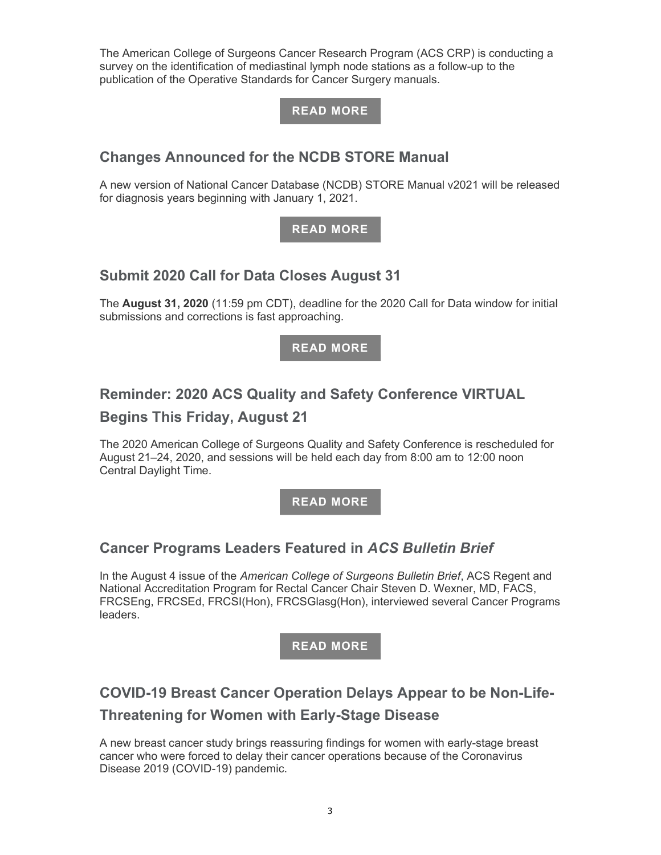The American College of Surgeons Cancer Research Program (ACS CRP) is conducting a survey on the identification of mediastinal lymph node stations as a follow-up to the publication of the Operative Standards for Cancer Surgery manuals.



# Changes Announced for the NCDB STORE Manual

A new version of National Cancer Database (NCDB) STORE Manual v2021 will be released for diagnosis years beginning with January 1, 2021.

#### READ MORE

# Submit 2020 Call for Data Closes August 31

The August 31, 2020 (11:59 pm CDT), deadline for the 2020 Call for Data window for initial submissions and corrections is fast approaching.

READ MORE

# Reminder: 2020 ACS Quality and Safety Conference VIRTUAL

## Begins This Friday, August 21

The 2020 American College of Surgeons Quality and Safety Conference is rescheduled for August 21–24, 2020, and sessions will be held each day from 8:00 am to 12:00 noon Central Daylight Time.

READ MORE

# Cancer Programs Leaders Featured in ACS Bulletin Brief

In the August 4 issue of the American College of Surgeons Bulletin Brief, ACS Regent and National Accreditation Program for Rectal Cancer Chair Steven D. Wexner, MD, FACS, FRCSEng, FRCSEd, FRCSI(Hon), FRCSGlasg(Hon), interviewed several Cancer Programs leaders.



# COVID-19 Breast Cancer Operation Delays Appear to be Non-Life-Threatening for Women with Early-Stage Disease

A new breast cancer study brings reassuring findings for women with early-stage breast cancer who were forced to delay their cancer operations because of the Coronavirus Disease 2019 (COVID-19) pandemic.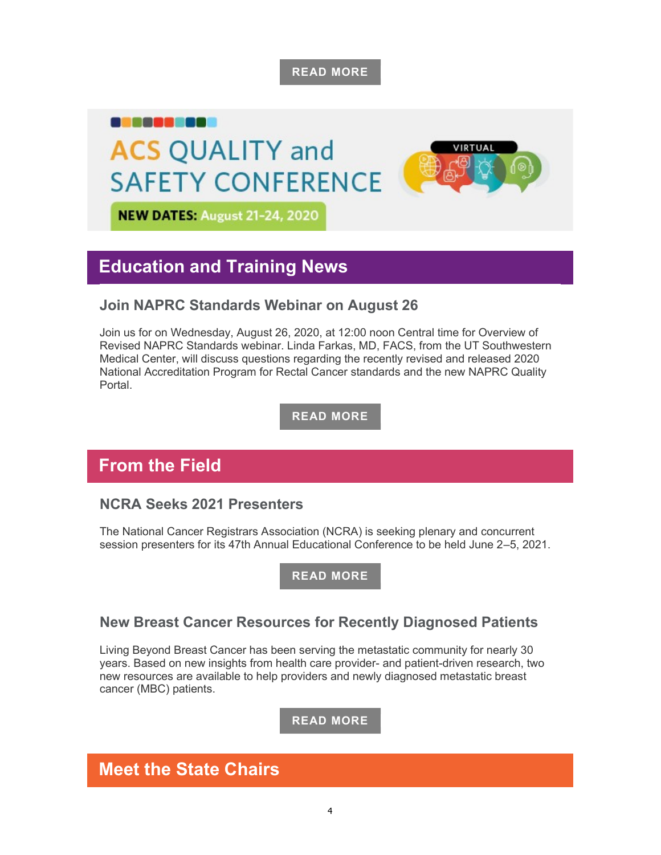READ MORE

VIRTUAL

# a nasa as **ACS QUALITY and SAFETY CONFERENCE**

**NEW DATES: August 21-24, 2020** 

# Education and Training News

# Join NAPRC Standards Webinar on August 26

Join us for on Wednesday, August 26, 2020, at 12:00 noon Central time for Overview of Revised NAPRC Standards webinar. Linda Farkas, MD, FACS, from the UT Southwestern Medical Center, will discuss questions regarding the recently revised and released 2020 National Accreditation Program for Rectal Cancer standards and the new NAPRC Quality **Portal** 

READ MORE

# From the Field

## NCRA Seeks 2021 Presenters

The National Cancer Registrars Association (NCRA) is seeking plenary and concurrent session presenters for its 47th Annual Educational Conference to be held June 2–5, 2021.

READ MORE

## New Breast Cancer Resources for Recently Diagnosed Patients

Living Beyond Breast Cancer has been serving the metastatic community for nearly 30 years. Based on new insights from health care provider- and patient-driven research, two new resources are available to help providers and newly diagnosed metastatic breast cancer (MBC) patients.

READ MORE

# Meet the State Chairs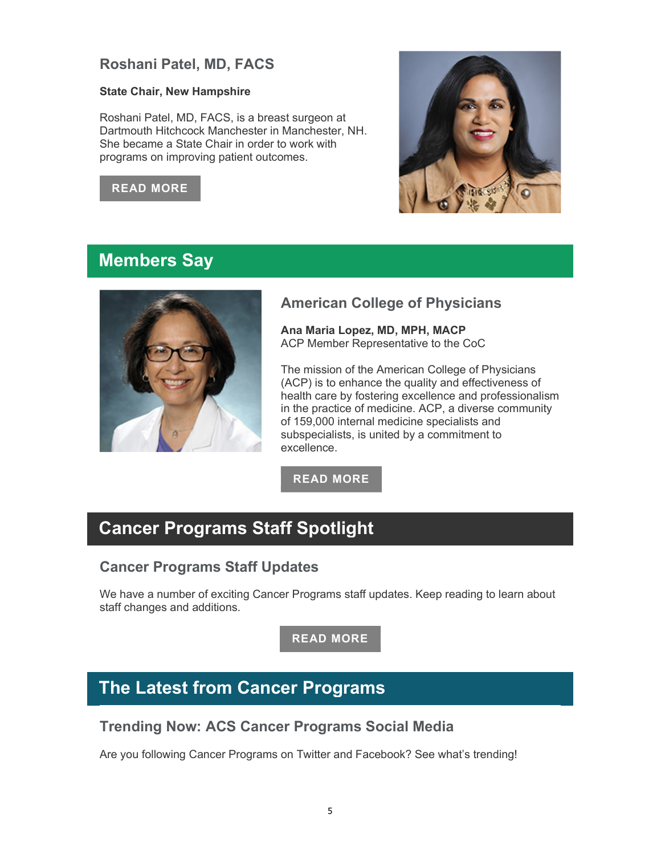# Roshani Patel, MD, FACS

#### State Chair, New Hampshire

Roshani Patel, MD, FACS, is a breast surgeon at Dartmouth Hitchcock Manchester in Manchester, NH. She became a State Chair in order to work with programs on improving patient outcomes.

#### READ MORE



# Members Say



## American College of Physicians

Ana Maria Lopez, MD, MPH, MACP ACP Member Representative to the CoC

The mission of the American College of Physicians (ACP) is to enhance the quality and effectiveness of health care by fostering excellence and professionalism in the practice of medicine. ACP, a diverse community of 159,000 internal medicine specialists and subspecialists, is united by a commitment to excellence.

READ MORE

# Cancer Programs Staff Spotlight

## Cancer Programs Staff Updates

We have a number of exciting Cancer Programs staff updates. Keep reading to learn about staff changes and additions.

READ MORE

# The Latest from Cancer Programs

## Trending Now: ACS Cancer Programs Social Media

Are you following Cancer Programs on Twitter and Facebook? See what's trending!